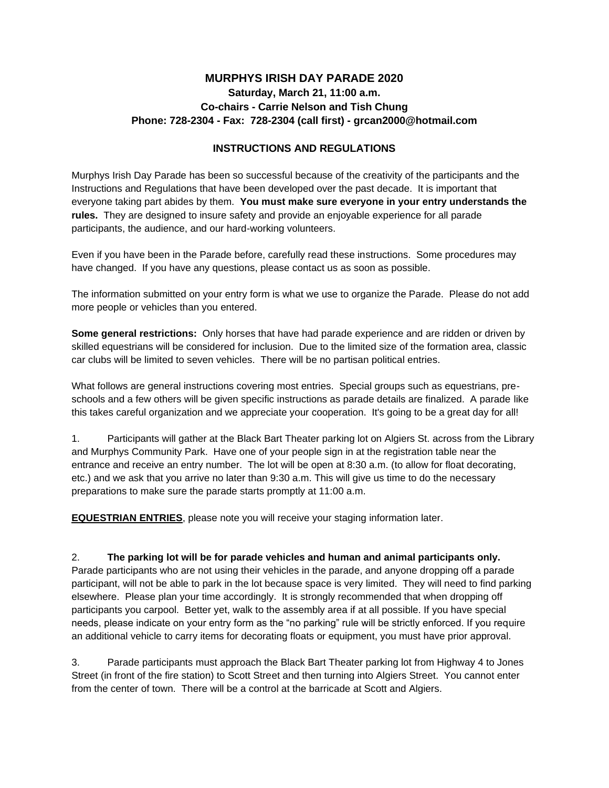## **MURPHYS IRISH DAY PARADE 2020 Saturday, March 21, 11:00 a.m. Co-chairs - Carrie Nelson and Tish Chung Phone: 728-2304 - Fax: 728-2304 (call first) - grcan2000@hotmail.com**

## **INSTRUCTIONS AND REGULATIONS**

Murphys Irish Day Parade has been so successful because of the creativity of the participants and the Instructions and Regulations that have been developed over the past decade. It is important that everyone taking part abides by them. **You must make sure everyone in your entry understands the rules.** They are designed to insure safety and provide an enjoyable experience for all parade participants, the audience, and our hard-working volunteers.

Even if you have been in the Parade before, carefully read these instructions. Some procedures may have changed. If you have any questions, please contact us as soon as possible.

The information submitted on your entry form is what we use to organize the Parade. Please do not add more people or vehicles than you entered.

**Some general restrictions:** Only horses that have had parade experience and are ridden or driven by skilled equestrians will be considered for inclusion. Due to the limited size of the formation area, classic car clubs will be limited to seven vehicles. There will be no partisan political entries.

What follows are general instructions covering most entries. Special groups such as equestrians, preschools and a few others will be given specific instructions as parade details are finalized. A parade like this takes careful organization and we appreciate your cooperation. It's going to be a great day for all!

1. Participants will gather at the Black Bart Theater parking lot on Algiers St. across from the Library and Murphys Community Park. Have one of your people sign in at the registration table near the entrance and receive an entry number. The lot will be open at 8:30 a.m. (to allow for float decorating, etc.) and we ask that you arrive no later than 9:30 a.m. This will give us time to do the necessary preparations to make sure the parade starts promptly at 11:00 a.m.

**EQUESTRIAN ENTRIES**, please note you will receive your staging information later.

2. **The parking lot will be for parade vehicles and human and animal participants only.**  Parade participants who are not using their vehicles in the parade, and anyone dropping off a parade participant, will not be able to park in the lot because space is very limited. They will need to find parking elsewhere. Please plan your time accordingly. It is strongly recommended that when dropping off participants you carpool. Better yet, walk to the assembly area if at all possible. If you have special needs, please indicate on your entry form as the "no parking" rule will be strictly enforced. If you require an additional vehicle to carry items for decorating floats or equipment, you must have prior approval.

3. Parade participants must approach the Black Bart Theater parking lot from Highway 4 to Jones Street (in front of the fire station) to Scott Street and then turning into Algiers Street. You cannot enter from the center of town. There will be a control at the barricade at Scott and Algiers.